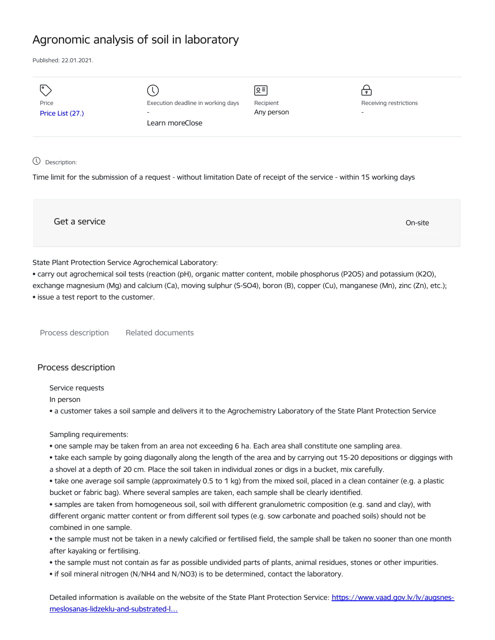# Agronomic analysis of soil in laboratory

Published: 22.01.2021.

| Ι۰               |                                    | $\sqrt{5}$ | $\mathsf{P}$             |
|------------------|------------------------------------|------------|--------------------------|
| Price            | Execution deadline in working days | Recipient  | Receiving restrictions   |
| Price List (27.) | $\overline{\phantom{0}}$           | Any person | $\overline{\phantom{a}}$ |
|                  | Learn moreClose                    |            |                          |
|                  |                                    |            |                          |
|                  |                                    |            |                          |

#### Description:

Time limit for the submission of a request - without limitation Date of receipt of the service - within 15 working days

Get a service On-site

# State Plant Protection Service Agrochemical Laboratory:

• carry out agrochemical soil tests (reaction (pH), organic matter content, mobile phosphorus (P2O5) and potassium (K2O), exchange magnesium (Mg) and calcium (Ca), moving sulphur (S-SO4), boron (B), copper (Cu), manganese (Mn), zinc (Zn), etc.); • issue a test report to the customer.

Process description Related documents

## Process description

Service requests

In person

• a customer takes a soil sample and delivers it to the Agrochemistry Laboratory of the State Plant Protection Service

Sampling requirements:

• one sample may be taken from an area not exceeding 6 ha. Each area shall constitute one sampling area.

• take each sample by going diagonally along the length of the area and by carrying out 15-20 depositions or diggings with a shovel at a depth of 20 cm. Place the soil taken in individual zones or digs in a bucket, mix carefully.

• take one average soil sample (approximately 0.5 to 1 kg) from the mixed soil, placed in a clean container (e.g. a plastic bucket or fabric bag). Where several samples are taken, each sample shall be clearly identified.

• samples are taken from homogeneous soil, soil with different granulometric composition (e.g. sand and clay), with different organic matter content or from different soil types (e.g. sow carbonate and poached soils) should not be combined in one sample.

• the sample must not be taken in a newly calcified or fertilised field, the sample shall be taken no sooner than one month after kayaking or fertilising.

- the sample must not contain as far as possible undivided parts of plants, animal residues, stones or other impurities.
- if soil mineral nitrogen (N/NH4 and N/NO3) is to be determined, contact the laboratory.

Detailed information is available on the website of the State Plant Protection Service: https://www.vaad.gov.lv/lv/augsnes[meslosanas-lidzeklu-and-substrated-l…](https://www.vaad.gov.lv/lv/augsnes-meslosanas-lidzeklu-and-substrated-laboratory-testesana)